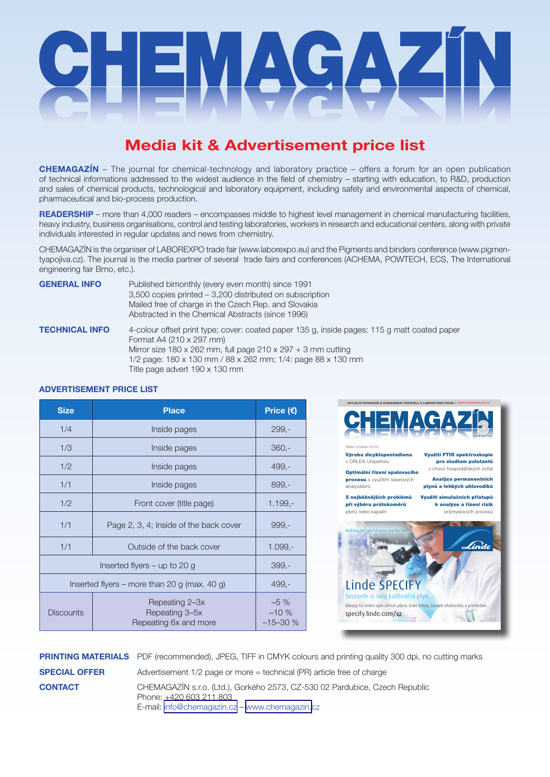

# **Media kit & Advertisement price list**

**CHEMAGAZÍN** – The journal for chemical-technology and laboratory practice – offers a forum for an open publication of technical informations addressed to the widest audience in the field of chemistry – starting with education, to R&D, production and sales of chemical products, technological and laboratory equipment, including safety and environmental aspects of chemical, pharmaceutical and bio-process production.

**READERSHIP** – more than 4,000 readers – encompasses middle to highest level management in chemical manufacturing facilities, heavy industry, business organisations, control and testing laboratories, workers in research and educational centers, along with private individuals interested in regular updates and news from chemistry.

CHEMAGAZÍN is the organiser of LABOREXPO trade fair (www.laborexpo.eu) and the Pigments and binders conference (www.pigmentyapojiva.cz). The journal is the media partner of several trade fairs and conferences (ACHEMA, POWTECH, ECS, The International engineering fair Brno, etc.).

**GENERAL INFO** Published bimonthly (every even month) since 1991 3,500 copies printed – 3,200 distributed on subscription Mailed free of charge in the Czech Rep. and Slovakia Abstracted in the Chemical Abstracts (since 1996)

**TECHNICAL INFO** 4-colour offset print type; cover: coated paper 135 g, inside pages: 115 g matt coated paper Format A4 (210 x 297 mm) Mirror size 180 x 262 mm, full page  $210 \times 297 + 3$  mm cutting 1/2 page: 180 x 130 mm / 88 x 262 mm; 1/4: page 88 x 130 mm Title page advert 190 x 130 mm

# **ADVERTISEMENT PRICE LIST**

| <b>Size</b>                                  | <b>Place</b>                                              | Price (€)                     |
|----------------------------------------------|-----------------------------------------------------------|-------------------------------|
| 1/4                                          | Inside pages                                              | $299 -$                       |
| 1/3                                          | Inside pages                                              | $360,-$                       |
| 1/2                                          | Inside pages                                              | 499,-                         |
| 1/1                                          | Inside pages                                              | $899 -$                       |
| 1/2                                          | Front cover (title page)                                  | $1.199 -$                     |
| 1/1                                          | Page 2, 3, 4; Inside of the back cover                    | $999 -$                       |
| 1/1                                          | Outside of the back cover                                 | $1.099 -$                     |
| Inserted flyers $-$ up to 20 g               |                                                           | $399,-$                       |
| Inserted flyers – more than 20 g (max. 40 g) |                                                           | $499,-$                       |
| <b>Discounts</b>                             | Repeating 2-3x<br>Repeating 3-5x<br>Repeating 6x and more | $-5\%$<br>$-10%$<br>$-15-30%$ |



**PRINTING MATERIALS** PDF (recommended), JPEG, TIFF in CMYK colours and printing quality 300 dpi, no cutting marks **SPECIAL OFFER** Advertisement 1/2 page or more = technical (PR) article free of charge **CONTACT** CHEMAGAZÍN s.r.o. (Ltd.), Gorkého 2573, CZ-530 02 Pardubice, Czech Republic Phone: +420 603 211 803 E-mail: [info@chemagazin.cz](mailto:info@chemagazin.cz) – [www.chemagazin.](http://www.chemagazin.cz)cz